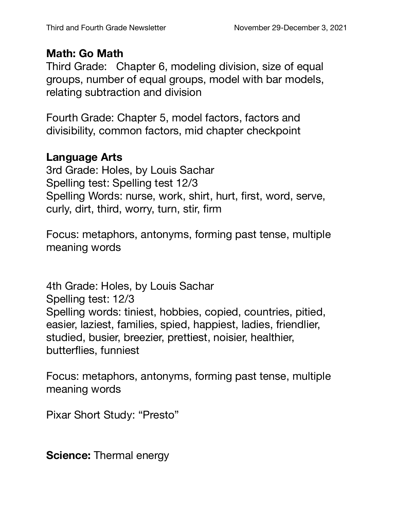## **Math: Go Math**

Third Grade: Chapter 6, modeling division, size of equal groups, number of equal groups, model with bar models, relating subtraction and division

Fourth Grade: Chapter 5, model factors, factors and divisibility, common factors, mid chapter checkpoint

## **Language Arts**

3rd Grade: Holes, by Louis Sachar Spelling test: Spelling test 12/3 Spelling Words: nurse, work, shirt, hurt, first, word, serve, curly, dirt, third, worry, turn, stir, firm

Focus: metaphors, antonyms, forming past tense, multiple meaning words

4th Grade: Holes, by Louis Sachar Spelling test: 12/3 Spelling words: tiniest, hobbies, copied, countries, pitied, easier, laziest, families, spied, happiest, ladies, friendlier, studied, busier, breezier, prettiest, noisier, healthier, butterflies, funniest

Focus: metaphors, antonyms, forming past tense, multiple meaning words

Pixar Short Study: "Presto"

**Science:** Thermal energy